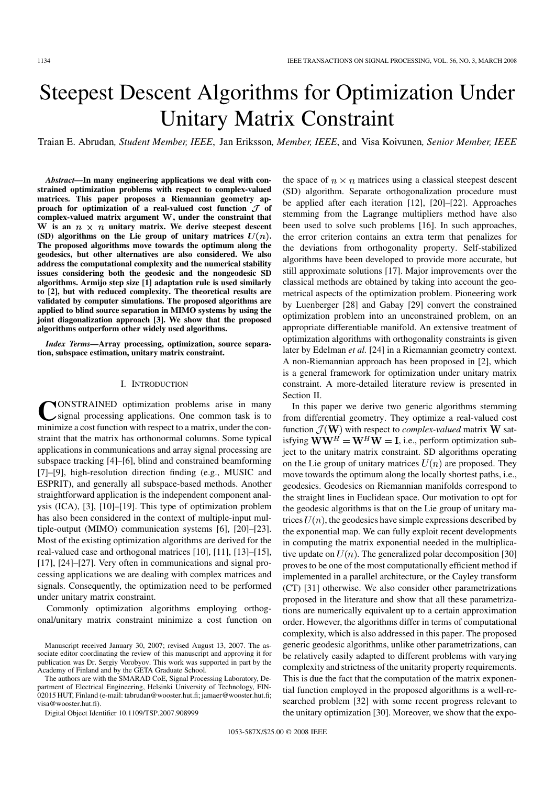# Steepest Descent Algorithms for Optimization Under Unitary Matrix Constraint

Traian E. Abrudan*, Student Member, IEEE*, Jan Eriksson*, Member, IEEE*, and Visa Koivunen*, Senior Member, IEEE*

*Abstract—***In many engineering applications we deal with constrained optimization problems with respect to complex-valued matrices. This paper proposes a Riemannian geometry approach** for **optimization** of a real-valued cost function  $\mathcal J$  of **complex-valued matrix argument** W**, under the constraint that** W is an  $n \times n$  unitary matrix. We derive steepest descent **(SD)** algorithms on the Lie group of unitary matrices  $U(n)$ . **The proposed algorithms move towards the optimum along the geodesics, but other alternatives are also considered. We also address the computational complexity and the numerical stability issues considering both the geodesic and the nongeodesic SD algorithms. Armijo step size [1] adaptation rule is used similarly to [2], but with reduced complexity. The theoretical results are validated by computer simulations. The proposed algorithms are applied to blind source separation in MIMO systems by using the joint diagonalization approach [3]. We show that the proposed algorithms outperform other widely used algorithms.**

*Index Terms—***Array processing, optimization, source separation, subspace estimation, unitary matrix constraint.**

#### I. INTRODUCTION

**CONSTRAINED** optimization problems arise in many signal processing applications. One common task is to minimize a cost function with respect to a matrix, under the con-ONSTRAINED optimization problems arise in many signal processing applications. One common task is to straint that the matrix has orthonormal columns. Some typical applications in communications and array signal processing are subspace tracking [4]–[6], blind and constrained beamforming [7]–[9], high-resolution direction finding (e.g., MUSIC and ESPRIT), and generally all subspace-based methods. Another straightforward application is the independent component analysis (ICA), [3], [10]–[19]. This type of optimization problem has also been considered in the context of multiple-input multiple-output (MIMO) communication systems [6], [20]–[23]. Most of the existing optimization algorithms are derived for the real-valued case and orthogonal matrices [10], [11], [13]–[15], [17], [24]–[27]. Very often in communications and signal processing applications we are dealing with complex matrices and signals. Consequently, the optimization need to be performed under unitary matrix constraint.

Commonly optimization algorithms employing orthogonal/unitary matrix constraint minimize a cost function on

Digital Object Identifier 10.1109/TSP.2007.908999

the space of  $n \times n$  matrices using a classical steepest descent (SD) algorithm. Separate orthogonalization procedure must be applied after each iteration [12], [20]–[22]. Approaches stemming from the Lagrange multipliers method have also been used to solve such problems [16]. In such approaches, the error criterion contains an extra term that penalizes for the deviations from orthogonality property. Self-stabilized algorithms have been developed to provide more accurate, but still approximate solutions [17]. Major improvements over the classical methods are obtained by taking into account the geometrical aspects of the optimization problem. Pioneering work by Luenberger [28] and Gabay [29] convert the constrained optimization problem into an unconstrained problem, on an appropriate differentiable manifold. An extensive treatment of optimization algorithms with orthogonality constraints is given later by Edelman *et al.* [24] in a Riemannian geometry context. A non-Riemannian approach has been proposed in [2], which is a general framework for optimization under unitary matrix constraint. A more-detailed literature review is presented in Section II.

In this paper we derive two generic algorithms stemming from differential geometry. They optimize a real-valued cost function  $\mathcal{J}(\mathbf{W})$  with respect to *complex-valued* matrix **W** satisfying  $\mathbf{W}\mathbf{W}^H = \mathbf{W}^H\mathbf{W} = \mathbf{I}$ , i.e., perform optimization subject to the unitary matrix constraint. SD algorithms operating on the Lie group of unitary matrices  $U(n)$  are proposed. They move towards the optimum along the locally shortest paths, i.e., geodesics. Geodesics on Riemannian manifolds correspond to the straight lines in Euclidean space. Our motivation to opt for the geodesic algorithms is that on the Lie group of unitary matrices  $U(n)$ , the geodesics have simple expressions described by the exponential map. We can fully exploit recent developments in computing the matrix exponential needed in the multiplicative update on  $U(n)$ . The generalized polar decomposition [30] proves to be one of the most computationally efficient method if implemented in a parallel architecture, or the Cayley transform (CT) [31] otherwise. We also consider other parametrizations proposed in the literature and show that all these parametrizations are numerically equivalent up to a certain approximation order. However, the algorithms differ in terms of computational complexity, which is also addressed in this paper. The proposed generic geodesic algorithms, unlike other parametrizations, can be relatively easily adapted to different problems with varying complexity and strictness of the unitarity property requirements. This is due the fact that the computation of the matrix exponential function employed in the proposed algorithms is a well-researched problem [32] with some recent progress relevant to the unitary optimization [30]. Moreover, we show that the expo-

Manuscript received January 30, 2007; revised August 13, 2007. The associate editor coordinating the review of this manuscript and approving it for publication was Dr. Sergiy Vorobyov. This work was supported in part by the Academy of Finland and by the GETA Graduate School.

The authors are with the SMARAD CoE, Signal Processing Laboratory, Department of Electrical Engineering, Helsinki University of Technology, FIN-02015 HUT, Finland (e-mail: tabrudan@wooster.hut.fi; jamaer@wooster.hut.fi; visa@wooster.hut.fi).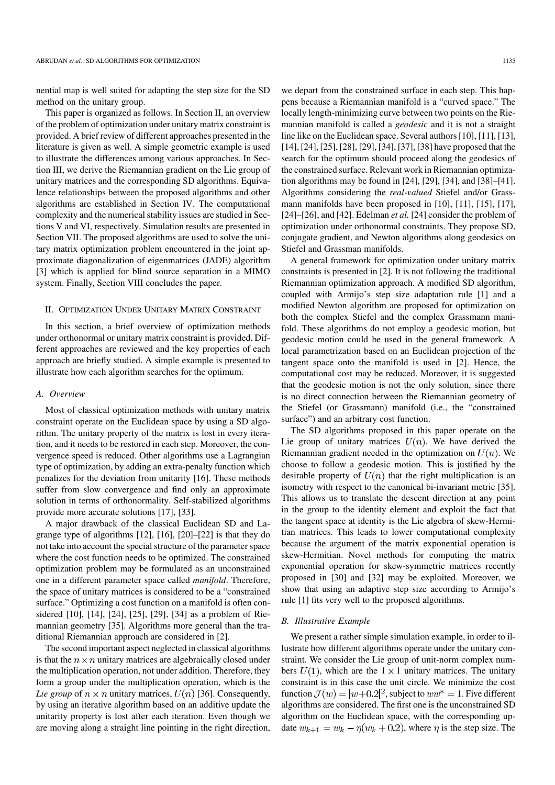nential map is well suited for adapting the step size for the SD method on the unitary group.

This paper is organized as follows. In Section II, an overview of the problem of optimization under unitary matrix constraint is provided. A brief review of different approaches presented in the literature is given as well. A simple geometric example is used to illustrate the differences among various approaches. In Section III, we derive the Riemannian gradient on the Lie group of unitary matrices and the corresponding SD algorithms. Equivalence relationships between the proposed algorithms and other algorithms are established in Section IV. The computational complexity and the numerical stability issues are studied in Sections V and VI, respectively. Simulation results are presented in Section VII. The proposed algorithms are used to solve the unitary matrix optimization problem encountered in the joint approximate diagonalization of eigenmatrices (JADE) algorithm [3] which is applied for blind source separation in a MIMO system. Finally, Section VIII concludes the paper.

#### II. OPTIMIZATION UNDER UNITARY MATRIX CONSTRAINT

In this section, a brief overview of optimization methods under orthonormal or unitary matrix constraint is provided. Different approaches are reviewed and the key properties of each approach are briefly studied. A simple example is presented to illustrate how each algorithm searches for the optimum.

#### *A. Overview*

Most of classical optimization methods with unitary matrix constraint operate on the Euclidean space by using a SD algorithm. The unitary property of the matrix is lost in every iteration, and it needs to be restored in each step. Moreover, the convergence speed is reduced. Other algorithms use a Lagrangian type of optimization, by adding an extra-penalty function which penalizes for the deviation from unitarity [16]. These methods suffer from slow convergence and find only an approximate solution in terms of orthonormality. Self-stabilized algorithms provide more accurate solutions [17], [33].

A major drawback of the classical Euclidean SD and Lagrange type of algorithms [12], [16], [20]–[22] is that they do not take into account the special structure of the parameter space where the cost function needs to be optimized. The constrained optimization problem may be formulated as an unconstrained one in a different parameter space called *manifold*. Therefore, the space of unitary matrices is considered to be a "constrained surface." Optimizing a cost function on a manifold is often considered [10], [14], [24], [25], [29], [34] as a problem of Riemannian geometry [35]. Algorithms more general than the traditional Riemannian approach are considered in [2].

The second important aspect neglected in classical algorithms is that the  $n \times n$  unitary matrices are algebraically closed under the multiplication operation, not under addition. Therefore, they form a group under the multiplication operation, which is the *Lie group* of  $n \times n$  unitary matrices,  $U(n)$  [36]. Consequently, by using an iterative algorithm based on an additive update the unitarity property is lost after each iteration. Even though we are moving along a straight line pointing in the right direction,

we depart from the constrained surface in each step. This happens because a Riemannian manifold is a "curved space." The locally length-minimizing curve between two points on the Riemannian manifold is called a *geodesic* and it is not a straight line like on the Euclidean space. Several authors [10], [11], [13], [14], [24], [25], [28], [29], [34], [37], [38] have proposed that the search for the optimum should proceed along the geodesics of the constrained surface. Relevant work in Riemannian optimization algorithms may be found in [24], [29], [34], and [38]–[41]. Algorithms considering the *real-valued* Stiefel and/or Grassmann manifolds have been proposed in [10], [11], [15], [17], [24]–[26], and [42]. Edelman *et al.* [24] consider the problem of optimization under orthonormal constraints. They propose SD, conjugate gradient, and Newton algorithms along geodesics on Stiefel and Grassman manifolds.

A general framework for optimization under unitary matrix constraints is presented in [2]. It is not following the traditional Riemannian optimization approach. A modified SD algorithm, coupled with Armijo's step size adaptation rule [1] and a modified Newton algorithm are proposed for optimization on both the complex Stiefel and the complex Grassmann manifold. These algorithms do not employ a geodesic motion, but geodesic motion could be used in the general framework. A local parametrization based on an Euclidean projection of the tangent space onto the manifold is used in [2]. Hence, the computational cost may be reduced. Moreover, it is suggested that the geodesic motion is not the only solution, since there is no direct connection between the Riemannian geometry of the Stiefel (or Grassmann) manifold (i.e., the "constrained surface") and an arbitrary cost function.

The SD algorithms proposed in this paper operate on the Lie group of unitary matrices  $U(n)$ . We have derived the Riemannian gradient needed in the optimization on  $U(n)$ . We choose to follow a geodesic motion. This is justified by the desirable property of  $U(n)$  that the right multiplication is an isometry with respect to the canonical bi-invariant metric [35]. This allows us to translate the descent direction at any point in the group to the identity element and exploit the fact that the tangent space at identity is the Lie algebra of skew-Hermitian matrices. This leads to lower computational complexity because the argument of the matrix exponential operation is skew-Hermitian. Novel methods for computing the matrix exponential operation for skew-symmetric matrices recently proposed in [30] and [32] may be exploited. Moreover, we show that using an adaptive step size according to Armijo's rule [1] fits very well to the proposed algorithms.

#### *B. Illustrative Example*

We present a rather simple simulation example, in order to illustrate how different algorithms operate under the unitary constraint. We consider the Lie group of unit-norm complex numbers  $U(1)$ , which are the  $1 \times 1$  unitary matrices. The unitary constraint is in this case the unit circle. We minimize the cost function  $\mathcal{J}(w) = |w+0.2|^2$ , subject to  $ww^* = 1$ . Five different algorithms are considered. The first one is the unconstrained SD algorithm on the Euclidean space, with the corresponding update  $w_{k+1} = w_k - \eta(w_k + 0.2)$ , where  $\eta$  is the step size. The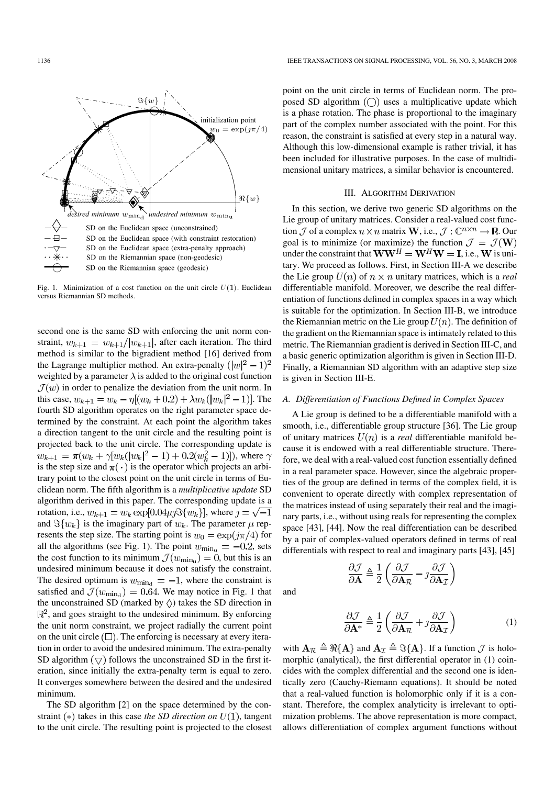

Fig. 1. Minimization of a cost function on the unit circle  $U(1)$ . Euclidean versus Riemannian SD methods.

second one is the same SD with enforcing the unit norm constraint,  $w_{k+1} = w_{k+1}/|w_{k+1}|$ , after each iteration. The third method is similar to the bigradient method [16] derived from the Lagrange multiplier method. An extra-penalty  $(|w|^2 - 1)^2$ weighted by a parameter  $\lambda$  is added to the original cost function  $\mathcal{J}(w)$  in order to penalize the deviation from the unit norm. In this case,  $w_{k+1} = w_k - \eta [(w_k + 0.2) + \lambda w_k (|w_k|^2 - 1)].$  The fourth SD algorithm operates on the right parameter space determined by the constraint. At each point the algorithm takes a direction tangent to the unit circle and the resulting point is projected back to the unit circle. The corresponding update is  $w_{k+1} = \pi(w_k + \gamma[w_k(|w_k|^2 - 1) + 0.2(w_k^2 - 1)])$ , where  $\gamma$ is the step size and  $\pi(\cdot)$  is the operator which projects an arbitrary point to the closest point on the unit circle in terms of Euclidean norm. The fifth algorithm is a *multiplicative update* SD algorithm derived in this paper. The corresponding update is a rotation, i.e.,  $w_{k+1} = w_k \exp[0.04 \mu \Im\{w_k\}]$ , where  $j = \sqrt{-1}$ and  $\Im\{w_k\}$  is the imaginary part of  $w_k$ . The parameter  $\mu$  represents the step size. The starting point is  $w_0 = \exp(j\pi/4)$  for all the algorithms (see Fig. 1). The point  $w_{\text{min}_{u}} = -0.2$ , sets the cost function to its minimum  $\mathcal{J}(w_{\text{min}_{u}}) = 0$ , but this is an undesired minimum because it does not satisfy the constraint. The desired optimum is  $w_{\text{min}_d} = -1$ , where the constraint is satisfied and  $\mathcal{J}(w_{\text{min}_d}) = 0.64$ . We may notice in Fig. 1 that the unconstrained SD (marked by  $\Diamond$ ) takes the SD direction in  $\mathbb{R}^2$ , and goes straight to the undesired minimum. By enforcing the unit norm constraint, we project radially the current point on the unit circle  $(\Box)$ . The enforcing is necessary at every iteration in order to avoid the undesired minimum. The extra-penalty SD algorithm  $(\nabla)$  follows the unconstrained SD in the first iteration, since initially the extra-penalty term is equal to zero. It converges somewhere between the desired and the undesired minimum.

The SD algorithm [2] on the space determined by the constraint (\*) takes in this case *the SD direction on*  $U(1)$ , tangent to the unit circle. The resulting point is projected to the closest

point on the unit circle in terms of Euclidean norm. The proposed SD algorithm  $\langle \bigcap \rangle$  uses a multiplicative update which is a phase rotation. The phase is proportional to the imaginary part of the complex number associated with the point. For this reason, the constraint is satisfied at every step in a natural way. Although this low-dimensional example is rather trivial, it has been included for illustrative purposes. In the case of multidimensional unitary matrices, a similar behavior is encountered.

# III. ALGORITHM DERIVATION

In this section, we derive two generic SD algorithms on the Lie group of unitary matrices. Consider a real-valued cost function  $\mathcal J$  of a complex  $n \times n$  matrix **W**, i.e.,  $\mathcal J: \mathbb C^{n \times n} \to \mathbb R$ . Our goal is to minimize (or maximize) the function  $\mathcal{J} = \mathcal{J}(\mathbf{W})$ under the constraint that  $\mathbf{W}\mathbf{W}^H = \mathbf{W}^H\mathbf{W} = \mathbf{I}$ , i.e.,  $\mathbf{W}$  is unitary. We proceed as follows. First, in Section III-A we describe the Lie group  $U(n)$  of  $n \times n$  unitary matrices, which is a *real* differentiable manifold. Moreover, we describe the real differentiation of functions defined in complex spaces in a way which is suitable for the optimization. In Section III-B, we introduce the Riemannian metric on the Lie group  $U(n)$ . The definition of the gradient on the Riemannian space is intimately related to this metric. The Riemannian gradient is derived in Section III-C, and a basic generic optimization algorithm is given in Section III-D. Finally, a Riemannian SD algorithm with an adaptive step size is given in Section III-E.

# *A. Differentiation of Functions Defined in Complex Spaces*

A Lie group is defined to be a differentiable manifold with a smooth, i.e., differentiable group structure [36]. The Lie group of unitary matrices  $U(n)$  is a *real* differentiable manifold because it is endowed with a real differentiable structure. Therefore, we deal with a real-valued cost function essentially defined in a real parameter space. However, since the algebraic properties of the group are defined in terms of the complex field, it is convenient to operate directly with complex representation of the matrices instead of using separately their real and the imaginary parts, i.e., without using reals for representing the complex space [43], [44]. Now the real differentiation can be described by a pair of complex-valued operators defined in terms of real differentials with respect to real and imaginary parts [43], [45]

and

$$
\frac{\partial \mathcal{J}}{\partial \mathbf{A}} \triangleq \frac{1}{2} \left( \frac{\partial \mathcal{J}}{\partial \mathbf{A}_{\mathcal{R}}} - \jmath \frac{\partial \mathcal{J}}{\partial \mathbf{A}_{\mathcal{I}}} \right)
$$

$$
\frac{\partial \mathcal{J}}{\partial \mathbf{A}^*} \triangleq \frac{1}{2} \left( \frac{\partial \mathcal{J}}{\partial \mathbf{A}_{\mathcal{R}}} + \jmath \frac{\partial \mathcal{J}}{\partial \mathbf{A}_{\mathcal{I}}} \right) \tag{1}
$$

with  $A_{\mathcal{R}} \triangleq \Re{A}$  and  $A_{\mathcal{I}} \triangleq \Im{A}$ . If a function  $\mathcal{J}$  is holomorphic (analytical), the first differential operator in (1) coincides with the complex differential and the second one is identically zero (Cauchy-Riemann equations). It should be noted that a real-valued function is holomorphic only if it is a constant. Therefore, the complex analyticity is irrelevant to optimization problems. The above representation is more compact, allows differentiation of complex argument functions without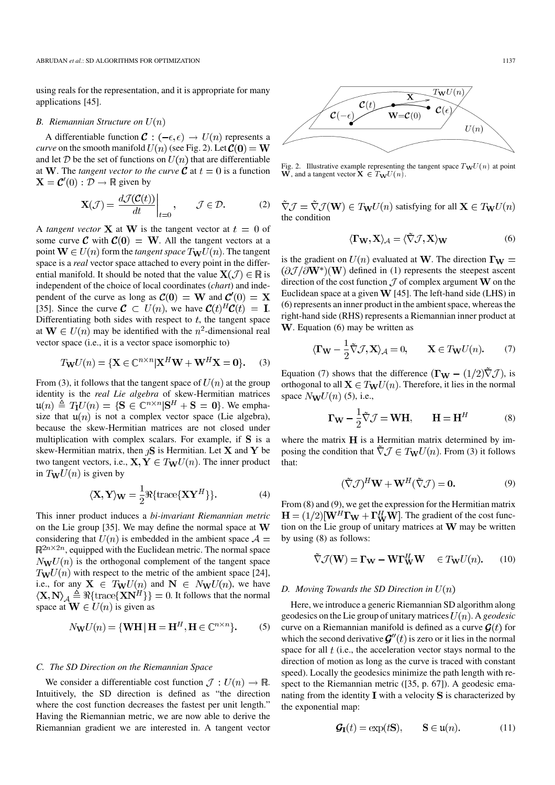using reals for the representation, and it is appropriate for many applications [45].

#### *B. Riemannian Structure on*  $U(n)$

A differentiable function  $\mathcal{C}: (-\epsilon, \epsilon) \to U(n)$  represents a *curve* on the smooth manifold  $U(n)$  (see Fig. 2). Let  $C(0) = W$ and let D be the set of functions on  $U(n)$  that are differentiable at W. The *tangent* vector to the curve C at  $t = 0$  is a function  $\mathbf{X} = \mathbf{C}'(0) : \mathcal{D} \to \mathbb{R}$  given by

$$
\mathbf{X}(\mathcal{J}) = \left. \frac{d\mathcal{J}(\mathcal{C}(t))}{dt} \right|_{t=0}, \qquad \mathcal{J} \in \mathcal{D}.
$$
 (2)

A *tangent vector* **X** at **W** is the tangent vector at  $t = 0$  of some curve C with  $C(0) = W$ . All the tangent vectors at a point  $\mathbf{W} \in U(n)$  form the *tangent space*  $T_{\mathbf{W}}U(n)$ . The tangent space is a *real* vector space attached to every point in the differential manifold. It should be noted that the value  $X(\mathcal{J}) \in \mathbb{R}$  is independent of the choice of local coordinates (*chart*) and independent of the curve as long as  $\mathcal{C}(0) = \mathbf{W}$  and  $\mathcal{C}'(0) = \mathbf{X}$ [35]. Since the curve  $C \subset U(n)$ , we have  $C(t)^H C(t) = I$ . Differentiating both sides with respect to  $t$ , the tangent space at  $\mathbf{W} \in U(n)$  may be identified with the  $n^2$ -dimensional real vector space (i.e., it is a vector space isomorphic to)

$$
T_{\mathbf{W}}U(n) = \{\mathbf{X} \in \mathbb{C}^{n \times n} | \mathbf{X}^{H} \mathbf{W} + \mathbf{W}^{H} \mathbf{X} = \mathbf{0} \}.
$$
 (3)

From (3), it follows that the tangent space of  $U(n)$  at the group identity is the *real Lie algebra* of skew-Hermitian matrices  $\mathfrak{u}(n) \triangleq T_{\mathbf{I}}U(n) = \{\mathbf{S} \in \mathbb{C}^{n \times n} | \mathbf{S}^H + \mathbf{S} = \mathbf{0}\}.$  We emphasize that  $u(n)$  is not a complex vector space (Lie algebra), because the skew-Hermitian matrices are not closed under multiplication with complex scalars. For example, if  $S$  is a skew-Hermitian matrix, then  $jS$  is Hermitian. Let X and Y be two tangent vectors, i.e.,  $X, Y \in T_W U(n)$ . The inner product in  $T_{\mathbf{W}}U(n)$  is given by

$$
\langle \mathbf{X}, \mathbf{Y} \rangle_{\mathbf{W}} = \frac{1}{2} \Re{\{\text{trace}\{\mathbf{X}\mathbf{Y}^H\}\}}.
$$
 (4)

This inner product induces a *bi-invariant Riemannian metric* on the Lie group [35]. We may define the normal space at  $W$ considering that  $U(n)$  is embedded in the ambient space  $\mathcal{A} =$  $\mathbb{R}^{2n\times 2n}$ , equipped with the Euclidean metric. The normal space  $N_{\mathbf{W}}U(n)$  is the orthogonal complement of the tangent space  $T_{\mathbf{W}}U(n)$  with respect to the metric of the ambient space [24], i.e., for any  $X \in T_{\mathbf{W}}U(n)$  and  $\mathbf{N} \in N_{\mathbf{W}}U(n)$ , we have  $\langle X, N \rangle_A \stackrel{\Delta}{=} \Re{\{\text{trace}\{\textbf{X}N^H\}\}} = 0.$  It follows that the normal space at  $\mathbf{W} \in U(n)$  is given as

$$
N_{\mathbf{W}}U(n) = \{ \mathbf{WH} \, | \, \mathbf{H} = \mathbf{H}^{H}, \mathbf{H} \in \mathbb{C}^{n \times n} \}. \tag{5}
$$

# *C. The SD Direction on the Riemannian Space*

We consider a differentiable cost function  $\mathcal{J}: U(n) \to \mathbb{R}$ . Intuitively, the SD direction is defined as "the direction where the cost function decreases the fastest per unit length." Having the Riemannian metric, we are now able to derive the Riemannian gradient we are interested in. A tangent vector



Fig. 2. Illustrative example representing the tangent space  $T_{\mathbf{W}}U(n)$  at point **W**, and a tangent vector  $X \in T_{\mathbf{W}}U(n)$ .

 $\tilde{\nabla} \mathcal{J} = \tilde{\nabla} \mathcal{J}(\mathbf{W}) \in T_{\mathbf{W}} U(n)$  satisfying for all  $\mathbf{X} \in T_{\mathbf{W}} U(n)$ the condition

$$
\langle \Gamma_{\mathbf{W}}, \mathbf{X} \rangle_{\mathcal{A}} = \langle \nabla \mathcal{J}, \mathbf{X} \rangle_{\mathbf{W}} \tag{6}
$$

is the gradient on  $U(n)$  evaluated at W. The direction  $\Gamma_W =$  $\left(\partial \mathcal{J}/\partial \mathbf{W}^*\right)(\mathbf{W})$  defined in (1) represents the steepest ascent direction of the cost function  $\mathcal J$  of complex argument W on the Euclidean space at a given  $W$  [45]. The left-hand side (LHS) in  $(6)$  represents an inner product in the ambient space, whereas the right-hand side (RHS) represents a Riemannian inner product at W. Equation (6) may be written as

$$
\langle \mathbf{\Gamma_W} - \frac{1}{2} \tilde{\nabla} \mathcal{J}, \mathbf{X} \rangle_{\mathcal{A}} = 0, \quad \mathbf{X} \in T_{\mathbf{W}} U(n). \quad (7)
$$

Equation (7) shows that the difference  $(\mathbf{F_W} - (1/2)\tilde{\nabla} \mathcal{J})$ , is orthogonal to all  $X \in T_W U(n)$ . Therefore, it lies in the normal space  $N_{\mathbf{W}}U(n)$  (5), i.e.,

$$
\mathbf{\Gamma_W} - \frac{1}{2}\tilde{\nabla}\mathcal{J} = \mathbf{W}\mathbf{H}, \qquad \mathbf{H} = \mathbf{H}^H \tag{8}
$$

where the matrix  $H$  is a Hermitian matrix determined by imposing the condition that  $\tilde{\nabla} \mathcal{J} \in T_{\mathbf{W}} U(n)$ . From (3) it follows that:

$$
(\tilde{\nabla} \mathcal{J})^H \mathbf{W} + \mathbf{W}^H (\tilde{\nabla} \mathcal{J}) = \mathbf{0}.
$$
 (9)

From (8) and (9), we get the expression for the Hermitian matrix  $H = (1/2)[W^H\Gamma_W + \Gamma_W^H W]$ . The gradient of the cost function on the Lie group of unitary matrices at  $W$  may be written by using (8) as follows:

$$
\tilde{\nabla} \mathcal{J}(\mathbf{W}) = \mathbf{\Gamma}_{\mathbf{W}} - \mathbf{W} \mathbf{\Gamma}_{\mathbf{W}}^H \mathbf{W} \quad \in T_{\mathbf{W}} U(n). \tag{10}
$$

# *D. Moving Towards the SD Direction in*  $U(n)$

Here, we introduce a generic Riemannian SD algorithm along geodesics on the Lie group of unitary matrices  $U(n)$ . A *geodesic* curve on a Riemannian manifold is defined as a curve  $\mathcal{G}(t)$  for which the second derivative  $\mathcal{G}''(t)$  is zero or it lies in the normal space for all  $t$  (i.e., the acceleration vector stays normal to the direction of motion as long as the curve is traced with constant speed). Locally the geodesics minimize the path length with respect to the Riemannian metric ([35, p. 67]). A geodesic emanating from the identity  $\bf{I}$  with a velocity  $\bf{S}$  is characterized by the exponential map:

$$
\mathcal{G}_{\mathbf{I}}(t) = \exp(t\mathbf{S}), \qquad \mathbf{S} \in \mathfrak{u}(n). \tag{11}
$$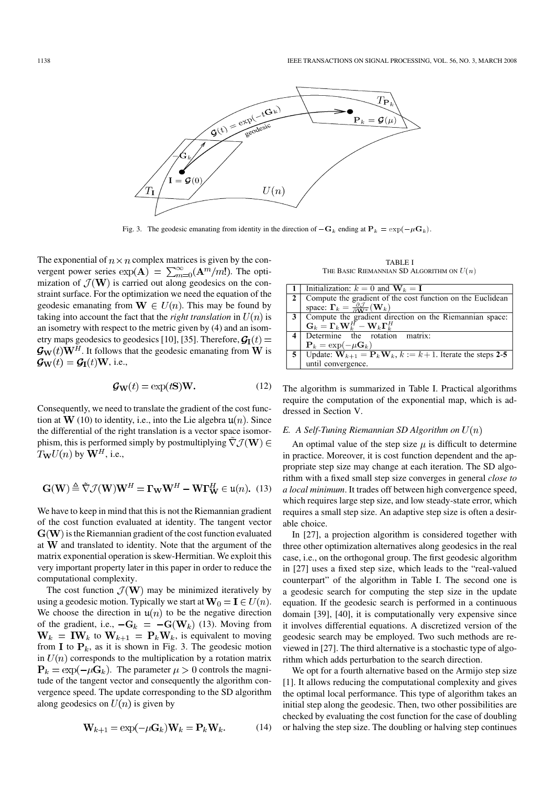

Fig. 3. The geodesic emanating from identity in the direction of  $-\mathbf{G}_k$  ending at  $\mathbf{P}_k = \exp(-\mu \mathbf{G}_k)$ .

The exponential of  $n \times n$  complex matrices is given by the convergent power series  $\exp(A) = \sum_{m=0}^{\infty} (A^m/m!)$ . The optimization of  $\mathcal{J}(\mathbf{W})$  is carried out along geodesics on the constraint surface. For the optimization we need the equation of the geodesic emanating from  $\mathbf{W} \in U(n)$ . This may be found by taking into account the fact that the *right translation* in  $U(n)$  is an isometry with respect to the metric given by (4) and an isometry maps geodesics to geodesics [10], [35]. Therefore,  $\mathcal{G}_{I}(t)$  =  $\mathbf{G}_{\mathbf{W}}(t)\mathbf{W}^H$ . It follows that the geodesic emanating from  $\mathbf{W}$  is  $\mathbf{G}_{\mathbf{W}}(t) = \mathbf{G}_{\mathbf{I}}(t)\mathbf{W}$ , i.e.,

$$
\mathcal{G}_{\mathbf{W}}(t) = \exp(t\mathbf{S})\mathbf{W}.\tag{12}
$$

Consequently, we need to translate the gradient of the cost function at  $W(10)$  to identity, i.e., into the Lie algebra  $u(n)$ . Since the differential of the right translation is a vector space isomorphism, this is performed simply by postmultiplying  $\nabla \mathcal{J}(\mathbf{W}) \in$  $T_{\mathbf{W}}U(n)$  by  $\mathbf{W}^{H}$ , i.e.,

$$
\mathbf{G(W)} \triangleq \tilde{\nabla} \mathcal{J}(\mathbf{W}) \mathbf{W}^H = \mathbf{\Gamma}_{\mathbf{W}} \mathbf{W}^H - \mathbf{W} \mathbf{\Gamma}_{\mathbf{W}}^H \in \mathfrak{u}(n). \tag{13}
$$

We have to keep in mind that this is not the Riemannian gradient of the cost function evaluated at identity. The tangent vector  $\mathbf{G}(\mathbf{W})$  is the Riemannian gradient of the cost function evaluated at  $W$  and translated to identity. Note that the argument of the matrix exponential operation is skew-Hermitian. We exploit this very important property later in this paper in order to reduce the computational complexity.

The cost function  $\mathcal{J}(\mathbf{W})$  may be minimized iteratively by using a geodesic motion. Typically we start at  $W_0 = I \in U(n)$ . We choose the direction in  $\mathfrak{u}(n)$  to be the negative direction of the gradient, i.e.,  $-\mathbf{G}_k = -\mathbf{G}(\mathbf{W}_k)$  (13). Moving from  $W_k = I W_k$  to  $W_{k+1} = P_k W_k$ , is equivalent to moving from **I** to  $P_k$ , as it is shown in Fig. 3. The geodesic motion in  $U(n)$  corresponds to the multiplication by a rotation matrix  $\mathbf{P}_k = \exp(-\mu \mathbf{G}_k)$ . The parameter  $\mu > 0$  controls the magnitude of the tangent vector and consequently the algorithm convergence speed. The update corresponding to the SD algorithm along geodesics on  $U(n)$  is given by

$$
\mathbf{W}_{k+1} = \exp(-\mu \mathbf{G}_k) \mathbf{W}_k = \mathbf{P}_k \mathbf{W}_k. \tag{14}
$$

TABLE I THE BASIC RIEMANNIAN SD ALGORITHM ON  $U(n)$ 

| Initialization: $k = 0$ and $W_k = I$                                                                                |
|----------------------------------------------------------------------------------------------------------------------|
| Compute the gradient of the cost function on the Euclidean                                                           |
| space: $\mathbf{\Gamma}_k = \frac{\partial \mathcal{J}}{\partial \mathbf{W}^*}(\mathbf{W}_k)$                        |
| Compute the gradient direction on the Riemannian space:<br>$G_k = \Gamma_k \mathbf{W}_k^H - \mathbf{W}_k \Gamma_k^H$ |
|                                                                                                                      |
| Determine the rotation matrix:                                                                                       |
| $\mathbf{P}_k = \exp(-\mu \mathbf{G}_k)$                                                                             |
| Update: $\mathbf{W}_{k+1} = \mathbf{P}_k \mathbf{W}_k$ , $k := k+1$ . Iterate the steps 2-5                          |
| until convergence.                                                                                                   |

The algorithm is summarized in Table I. Practical algorithms require the computation of the exponential map, which is addressed in Section V.

# *E. A Self-Tuning Riemannian SD Algorithm on*  $U(n)$

An optimal value of the step size  $\mu$  is difficult to determine in practice. Moreover, it is cost function dependent and the appropriate step size may change at each iteration. The SD algorithm with a fixed small step size converges in general *close to a local minimum*. It trades off between high convergence speed, which requires large step size, and low steady-state error, which requires a small step size. An adaptive step size is often a desirable choice.

In [27], a projection algorithm is considered together with three other optimization alternatives along geodesics in the real case, i.e., on the orthogonal group. The first geodesic algorithm in [27] uses a fixed step size, which leads to the "real-valued counterpart" of the algorithm in Table I. The second one is a geodesic search for computing the step size in the update equation. If the geodesic search is performed in a continuous domain [39], [40], it is computationally very expensive since it involves differential equations. A discretized version of the geodesic search may be employed. Two such methods are reviewed in [27]. The third alternative is a stochastic type of algorithm which adds perturbation to the search direction.

We opt for a fourth alternative based on the Armijo step size [1]. It allows reducing the computational complexity and gives the optimal local performance. This type of algorithm takes an initial step along the geodesic. Then, two other possibilities are checked by evaluating the cost function for the case of doubling or halving the step size. The doubling or halving step continues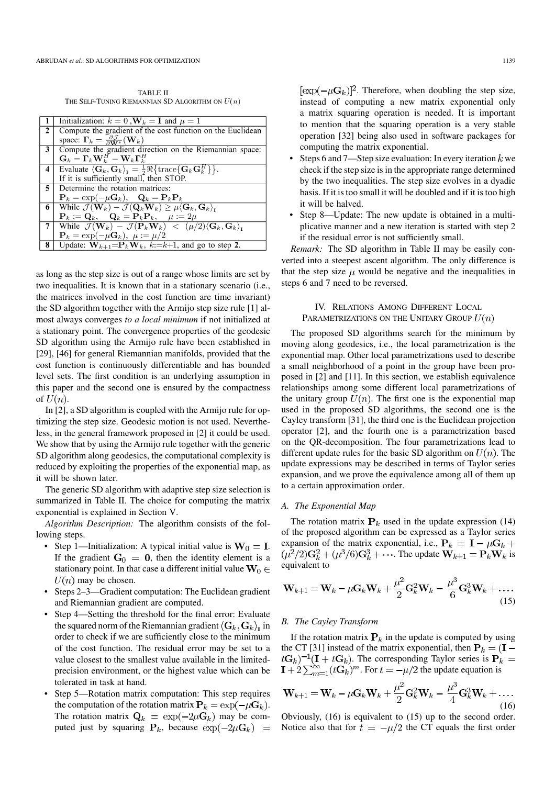TABLE II THE SELF-TUNING RIEMANNIAN SD ALGORITHM ON  $U(n)$ 

|                | Initialization: $k = 0$ , $W_k = I$ and $\mu = 1$                                                                                           |
|----------------|---------------------------------------------------------------------------------------------------------------------------------------------|
| 2              | Compute the gradient of the cost function on the Euclidean                                                                                  |
|                | space: $\mathbf{\Gamma}_k = \frac{\partial \mathcal{J}}{\partial \mathbf{W}^*}(\mathbf{W}_k)$                                               |
| 3 <sup>1</sup> | Compute the gradient direction on the Riemannian space:                                                                                     |
|                | $\mathbf{G}_k = \boldsymbol{\Gamma}_k \mathbf{W}_k^H - \mathbf{W}_k \boldsymbol{\Gamma}_k^H$                                                |
| 4              | Evaluate $\langle G_k, G_k \rangle_I = \frac{1}{2} \Re{\{\text{trace}\{G_k G_k^H\}\}}$ .                                                    |
|                | If it is sufficiently small, then STOP.                                                                                                     |
| 5.             | Determine the rotation matrices:                                                                                                            |
|                | $\mathbf{P}_k = \exp(-\mu \mathbf{G}_k), \quad \mathbf{Q}_k = \mathbf{P}_k \mathbf{P}_k$                                                    |
| 6              | While $\mathcal{J}(\mathbf{W}_k) - \mathcal{J}(\mathbf{Q}_k \mathbf{W}_k) \geq \mu \langle \mathbf{G}_k, \mathbf{G}_k \rangle_{\mathbf{I}}$ |
|                | $\mathbf{P}_k := \mathbf{Q}_k, \quad \mathbf{Q}_k = \mathbf{P}_k \mathbf{P}_k, \quad \mu := 2\mu$                                           |
| 7              | While $\mathcal{J}(\mathbf{W}_k) - \mathcal{J}(\mathbf{P}_k \mathbf{W}_k) < (\mu/2) \langle \mathbf{G}_k, \mathbf{G}_k \rangle_{\text{I}}$  |
|                | $\mathbf{P}_k = \exp(-\mu \mathbf{G}_k), \ \mu := \mu/2$                                                                                    |
| 8              | Update: $\mathbf{W}_{k+1} = \mathbf{P}_k \mathbf{W}_k$ , k:=k+1, and go to step 2.                                                          |

as long as the step size is out of a range whose limits are set by two inequalities. It is known that in a stationary scenario (i.e., the matrices involved in the cost function are time invariant) the SD algorithm together with the Armijo step size rule [1] almost always converges *to a local minimum* if not initialized at a stationary point. The convergence properties of the geodesic SD algorithm using the Armijo rule have been established in [29], [46] for general Riemannian manifolds, provided that the cost function is continuously differentiable and has bounded level sets. The first condition is an underlying assumption in this paper and the second one is ensured by the compactness of  $U(n)$ .

In [2], a SD algorithm is coupled with the Armijo rule for optimizing the step size. Geodesic motion is not used. Nevertheless, in the general framework proposed in [2] it could be used. We show that by using the Armijo rule together with the generic SD algorithm along geodesics, the computational complexity is reduced by exploiting the properties of the exponential map, as it will be shown later.

The generic SD algorithm with adaptive step size selection is summarized in Table II. The choice for computing the matrix exponential is explained in Section V.

*Algorithm Description:* The algorithm consists of the following steps.

- Step 1—Initialization: A typical initial value is  $W_0 = I$ . If the gradient  $G_0 = 0$ , then the identity element is a stationary point. In that case a different initial value  $\mathbf{W}_0 \in$  $U(n)$  may be chosen.
- Steps 2–3—Gradient computation: The Euclidean gradient and Riemannian gradient are computed.
- Step 4—Setting the threshold for the final error: Evaluate the squared norm of the Riemannian gradient  $\langle G_k, G_k \rangle$ <sub>r</sub> in order to check if we are sufficiently close to the minimum of the cost function. The residual error may be set to a value closest to the smallest value available in the limitedprecision environment, or the highest value which can be tolerated in task at hand.
- Step 5—Rotation matrix computation: This step requires the computation of the rotation matrix  $P_k = \exp(-\mu G_k)$ . The rotation matrix  $\mathbf{Q}_k = \exp(-2\mu \mathbf{G}_k)$  may be computed just by squaring  $P_k$ , because  $\exp(-2\mu G_k)$  =

 $[\exp(-\mu G_k)]^2$ . Therefore, when doubling the step size, instead of computing a new matrix exponential only a matrix squaring operation is needed. It is important to mention that the squaring operation is a very stable operation [32] being also used in software packages for computing the matrix exponential.

- Steps 6 and 7—Step size evaluation: In every iteration  $k$  we check if the step size is in the appropriate range determined by the two inequalities. The step size evolves in a dyadic basis. If it is too small it will be doubled and if it is too high it will be halved.
- Step 8—Update: The new update is obtained in a multiplicative manner and a new iteration is started with step 2 if the residual error is not sufficiently small.

*Remark:* The SD algorithm in Table II may be easily converted into a steepest ascent algorithm. The only difference is that the step size  $\mu$  would be negative and the inequalities in steps 6 and 7 need to be reversed.

# IV. RELATIONS AMONG DIFFERENT LOCAL PARAMETRIZATIONS ON THE UNITARY GROUP  $U(n)$

The proposed SD algorithms search for the minimum by moving along geodesics, i.e., the local parametrization is the exponential map. Other local parametrizations used to describe a small neighborhood of a point in the group have been proposed in [2] and [11]. In this section, we establish equivalence relationships among some different local parametrizations of the unitary group  $U(n)$ . The first one is the exponential map used in the proposed SD algorithms, the second one is the Cayley transform [31], the third one is the Euclidean projection operator [2], and the fourth one is a parametrization based on the QR-decomposition. The four parametrizations lead to different update rules for the basic SD algorithm on  $U(n)$ . The update expressions may be described in terms of Taylor series expansion, and we prove the equivalence among all of them up to a certain approximation order.

#### *A. The Exponential Map*

The rotation matrix  $P_k$  used in the update expression (14) of the proposed algorithm can be expressed as a Taylor series expansion of the matrix exponential, i.e., . The update  $\mathbf{W}_{k+1} = \mathbf{P}_k \mathbf{W}_k$  is equivalent to

$$
\mathbf{W}_{k+1} = \mathbf{W}_k - \mu \mathbf{G}_k \mathbf{W}_k + \frac{\mu^2}{2} \mathbf{G}_k^2 \mathbf{W}_k - \frac{\mu^3}{6} \mathbf{G}_k^3 \mathbf{W}_k + \dots
$$
\n(15)

#### *B. The Cayley Transform*

If the rotation matrix  $P_k$  in the update is computed by using the CT [31] instead of the matrix exponential, then  $P_k = (I -$ . The corresponding Taylor series is . For  $t = -\mu/2$  the update equation is

$$
\mathbf{W}_{k+1} = \mathbf{W}_k - \mu \mathbf{G}_k \mathbf{W}_k + \frac{\mu^2}{2} \mathbf{G}_k^2 \mathbf{W}_k - \frac{\mu^3}{4} \mathbf{G}_k^3 \mathbf{W}_k + \dots
$$
\n(16)

Obviously, (16) is equivalent to (15) up to the second order. Notice also that for  $t = -\mu/2$  the CT equals the first order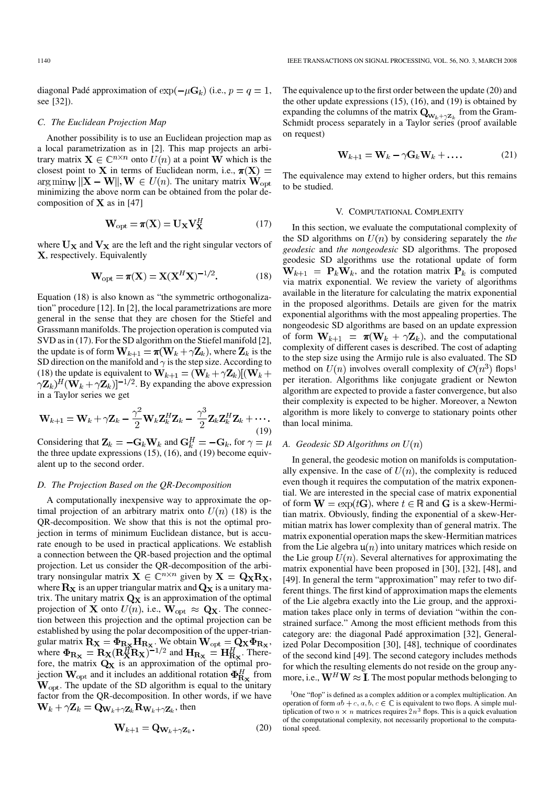diagonal Padé approximation of  $\exp(-\mu G_k)$  (i.e.,  $p = q = 1$ , see [32]).

#### *C. The Euclidean Projection Map*

Another possibility is to use an Euclidean projection map as a local parametrization as in [2]. This map projects an arbitrary matrix  $X \in \mathbb{C}^{n \times n}$  onto  $U(n)$  at a point W which is the closest point to X in terms of Euclidean norm, i.e.,  $\pi(X)$  =  $\arg\min_{\mathbf{W}} ||\mathbf{X} - \mathbf{W}||$ ,  $\mathbf{W} \in U(n)$ . The unitary matrix  $\mathbf{W}_{\text{opt}}$ minimizing the above norm can be obtained from the polar decomposition of  $X$  as in [47]

$$
\mathbf{W}_{\rm opt} = \pi(\mathbf{X}) = \mathbf{U}_{\mathbf{X}} \mathbf{V}_{\mathbf{X}}^H
$$
 (17)

where  $U_X$  and  $V_X$  are the left and the right singular vectors of X, respectively. Equivalently

$$
\mathbf{W}_{\rm opt} = \pi(\mathbf{X}) = \mathbf{X} (\mathbf{X}^H \mathbf{X})^{-1/2}.
$$
 (18)

Equation (18) is also known as "the symmetric orthogonalization" procedure [12]. In [2], the local parametrizations are more general in the sense that they are chosen for the Stiefel and Grassmann manifolds. The projection operation is computed via SVD as in (17). For the SD algorithm on the Stiefel manifold [2], the update is of form  $W_{k+1} = \pi(W_k + \gamma Z_k)$ , where  $Z_k$  is the SD direction on the manifold and  $\gamma$  is the step size. According to (18) the update is equivalent to  $\mathbf{W}_{k+1} = (\mathbf{W}_k + \gamma \mathbf{Z}_k)[(\mathbf{W}_k +$  $\gamma \mathbf{Z}_k$ )<sup>H</sup>( $\mathbf{W}_k + \gamma \mathbf{Z}_k$ )<sup>-1/2</sup>. By expanding the above expression in a Taylor series we get

$$
\mathbf{W}_{k+1} = \mathbf{W}_k + \gamma \mathbf{Z}_k - \frac{\gamma^2}{2} \mathbf{W}_k \mathbf{Z}_k^H \mathbf{Z}_k - \frac{\gamma^3}{2} \mathbf{Z}_k \mathbf{Z}_k^H \mathbf{Z}_k + \cdots
$$
\n(19)

Considering that  $\mathbf{Z}_k = -\mathbf{G}_k \mathbf{W}_k$  and  $\mathbf{G}_k^H = -\mathbf{G}_k$ , for  $\gamma = \mu$ the three update expressions (15), (16), and (19) become equivalent up to the second order.

#### *D. The Projection Based on the QR-Decomposition*

A computationally inexpensive way to approximate the optimal projection of an arbitrary matrix onto  $U(n)$  (18) is the QR-decomposition. We show that this is not the optimal projection in terms of minimum Euclidean distance, but is accurate enough to be used in practical applications. We establish a connection between the QR-based projection and the optimal projection. Let us consider the QR-decomposition of the arbitrary nonsingular matrix  $X \in \mathbb{C}^{n \times n}$  given by  $X = Q_X R_X$ , where  $\mathbf{R}_{\mathbf{X}}$  is an upper triangular matrix and  $\mathbf{Q}_{\mathbf{X}}$  is a unitary matrix. The unitary matrix  $\mathbf{Q}_\mathbf{X}$  is an approximation of the optimal projection of **X** onto  $U(n)$ , i.e.,  $\mathbf{W}_{opt} \approx \mathbf{Q}_{\mathbf{X}}$ . The connection between this projection and the optimal projection can be established by using the polar decomposition of the upper-triangular matrix  $\mathbf{R_X} = \mathbf{\Phi_{R_X}H_{R_X}}$ . We obtain  $\mathbf{W}_{\text{opt}} = \mathbf{Q_X\Phi_{R_X}}$ , where  $\Phi_{\mathbf{R_x}} = \mathbf{R_x} (\mathbf{R_x^H} \mathbf{R_x})^{-1/2}$  and  $\mathbf{H}_{\mathbf{R_x}} = \mathbf{H}_{\mathbf{R_y}}^H$ . Therefore, the matrix  $\mathbf{Q}_X$  is an approximation of the optimal projection  $\mathbf{W}_{\text{opt}}$  and it includes an additional rotation  $\mathbf{\Phi}_{\mathbf{R}_{\mathbf{x}}}^{H}$  from  $W_{\text{opt}}$ . The update of the SD algorithm is equal to the unitary factor from the QR-decomposition. In other words, if we have  $\mathbf{W}_k + \gamma \mathbf{Z}_k = \mathbf{Q}_{\mathbf{W}_k + \gamma \mathbf{Z}_k} \mathbf{R}_{\mathbf{W}_k + \gamma \mathbf{Z}_k}$ , then

$$
\mathbf{W}_{k+1} = \mathbf{Q}_{\mathbf{W}_k + \gamma \mathbf{Z}_k}.
$$
 (20)

The equivalence up to the first order between the update (20) and the other update expressions  $(15)$ ,  $(16)$ , and  $(19)$  is obtained by expanding the columns of the matrix  $\mathbf{Q}_{\mathbf{W}_k + \gamma \mathbf{Z}_k}$  from the Gram-Schmidt process separately in a Taylor series (proof available on request)

$$
\mathbf{W}_{k+1} = \mathbf{W}_k - \gamma \mathbf{G}_k \mathbf{W}_k + \dots
$$
 (21)

The equivalence may extend to higher orders, but this remains to be studied.

#### V. COMPUTATIONAL COMPLEXITY

In this section, we evaluate the computational complexity of the SD algorithms on  $U(n)$  by considering separately the *the geodesic* and *the nongeodesic* SD algorithms. The proposed geodesic SD algorithms use the rotational update of form  $W_{k+1} = P_k W_k$ , and the rotation matrix  $P_k$  is computed via matrix exponential. We review the variety of algorithms available in the literature for calculating the matrix exponential in the proposed algorithms. Details are given for the matrix exponential algorithms with the most appealing properties. The nongeodesic SD algorithms are based on an update expression of form  $W_{k+1} = \pi(W_k + \gamma Z_k)$ , and the computational complexity of different cases is described. The cost of adapting to the step size using the Armijo rule is also evaluated. The SD method on  $U(n)$  involves overall complexity of  $\mathcal{O}(n^3)$  flops<sup>1</sup> per iteration. Algorithms like conjugate gradient or Newton algorithm are expected to provide a faster convergence, but also their complexity is expected to be higher. Moreover, a Newton algorithm is more likely to converge to stationary points other than local minima.

# *A. Geodesic SD Algorithms on*  $U(n)$

In general, the geodesic motion on manifolds is computationally expensive. In the case of  $U(n)$ , the complexity is reduced even though it requires the computation of the matrix exponential. We are interested in the special case of matrix exponential of form  $W = \exp(tG)$ , where  $t \in \mathbb{R}$  and G is a skew-Hermitian matrix. Obviously, finding the exponential of a skew-Hermitian matrix has lower complexity than of general matrix. The matrix exponential operation mapsthe skew-Hermitian matrices from the Lie algebra  $\mathfrak{u}(n)$  into unitary matrices which reside on the Lie group  $U(n)$ . Several alternatives for approximating the matrix exponential have been proposed in [30], [32], [48], and [49]. In general the term "approximation" may refer to two different things. The first kind of approximation maps the elements of the Lie algebra exactly into the Lie group, and the approximation takes place only in terms of deviation "within the constrained surface." Among the most efficient methods from this category are: the diagonal Padé approximation [32], Generalized Polar Decomposition [30], [48], technique of coordinates of the second kind [49]. The second category includes methods for which the resulting elements do not reside on the group anymore, i.e.,  $W^H W \approx I$ . The most popular methods belonging to

<sup>&</sup>lt;sup>1</sup>One "flop" is defined as a complex addition or a complex multiplication. An operation of form  $ab + c, a, b, c \in \mathbb{C}$  is equivalent to two flops. A simple multiplication of two  $n \times n$  matrices requires  $2n^3$  flops. This is a quick evaluation of the computational complexity, not necessarily proportional to the computational speed.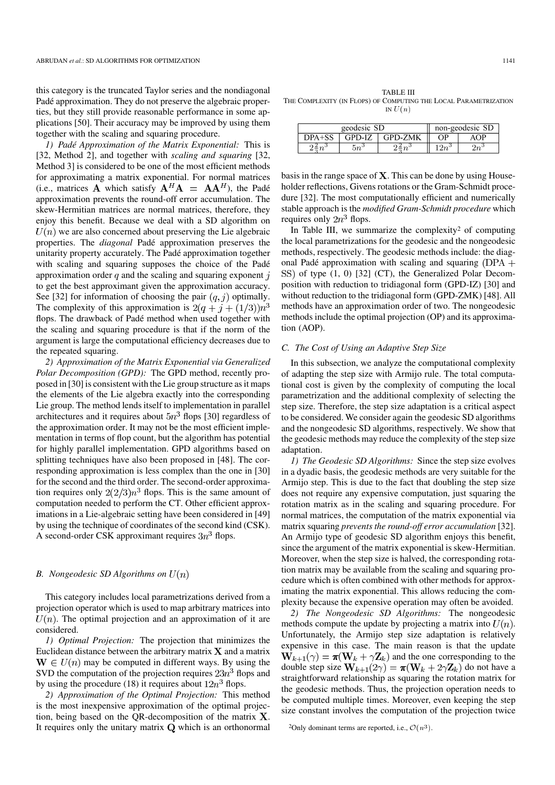this category is the truncated Taylor series and the nondiagonal Padé approximation. They do not preserve the algebraic properties, but they still provide reasonable performance in some applications [50]. Their accuracy may be improved by using them together with the scaling and squaring procedure.

*1) Padé Approximation of the Matrix Exponential:* This is [32, Method 2], and together with *scaling and squaring* [32, Method 3] is considered to be one of the most efficient methods for approximating a matrix exponential. For normal matrices (i.e., matrices **A** which satisfy  $A^H A = AA^H$ ), the Padé approximation prevents the round-off error accumulation. The skew-Hermitian matrices are normal matrices, therefore, they enjoy this benefit. Because we deal with a SD algorithm on  $U(n)$  we are also concerned about preserving the Lie algebraic properties. The *diagonal* Padé approximation preserves the unitarity property accurately. The Padé approximation together with scaling and squaring supposes the choice of the Padé approximation order  $q$  and the scaling and squaring exponent  $j$ to get the best approximant given the approximation accuracy. See [32] for information of choosing the pair  $(q, j)$  optimally. The complexity of this approximation is  $2(q + j + (1/3))n^3$ flops. The drawback of Padé method when used together with the scaling and squaring procedure is that if the norm of the argument is large the computational efficiency decreases due to the repeated squaring.

*2) Approximation of the Matrix Exponential via Generalized Polar Decomposition (GPD):* The GPD method, recently proposed in [30] is consistent with the Lie group structure asit maps the elements of the Lie algebra exactly into the corresponding Lie group. The method lends itself to implementation in parallel architectures and it requires about  $5n<sup>3</sup>$  flops [30] regardless of the approximation order. It may not be the most efficient implementation in terms of flop count, but the algorithm has potential for highly parallel implementation. GPD algorithms based on splitting techniques have also been proposed in [48]. The corresponding approximation is less complex than the one in [30] for the second and the third order. The second-order approximation requires only  $2(2/3)n^3$  flops. This is the same amount of computation needed to perform the CT. Other efficient approximations in a Lie-algebraic setting have been considered in [49] by using the technique of coordinates of the second kind (CSK). A second-order CSK approximant requires  $3n^3$  flops.

### *B. Nongeodesic SD Algorithms on*  $U(n)$

This category includes local parametrizations derived from a projection operator which is used to map arbitrary matrices into  $U(n)$ . The optimal projection and an approximation of it are considered.

*1) Optimal Projection:* The projection that minimizes the Euclidean distance between the arbitrary matrix  $X$  and a matrix  $\mathbf{W} \in U(n)$  may be computed in different ways. By using the SVD the computation of the projection requires  $23n^3$  flops and by using the procedure (18) it requires about  $12n^3$  flops.

*2) Approximation of the Optimal Projection:* This method is the most inexpensive approximation of the optimal projection, being based on the QR-decomposition of the matrix  $X$ . It requires only the unitary matrix  $Q$  which is an orthonormal

TABLE III THE COMPLEXITY (IN FLOPS) OF COMPUTING THE LOCAL PARAMETRIZATION IN  $U(n)$ 

| geodesic SD |        |         | non-geodesic $S\overline{D}$ |  |
|-------------|--------|---------|------------------------------|--|
| $DPA + S$   | GPD-IZ | GPD-ZMK | ЛP                           |  |
|             | ்ஸ்    |         | 19ລະ                         |  |

basis in the range space of  $X$ . This can be done by using Householder reflections, Givens rotations or the Gram-Schmidt procedure [32]. The most computationally efficient and numerically stable approach is the *modified Gram-Schmidt procedure* which requires only  $2n^3$  flops.

In Table III, we summarize the complexity<sup>2</sup> of computing the local parametrizations for the geodesic and the nongeodesic methods, respectively. The geodesic methods include: the diagonal Padé approximation with scaling and squaring  $(DPA +$  $SS$ ) of type  $(1, 0)$  [32] (CT), the Generalized Polar Decomposition with reduction to tridiagonal form (GPD-IZ) [30] and without reduction to the tridiagonal form (GPD-ZMK) [48]. All methods have an approximation order of two. The nongeodesic methods include the optimal projection (OP) and its approximation (AOP).

# *C. The Cost of Using an Adaptive Step Size*

In this subsection, we analyze the computational complexity of adapting the step size with Armijo rule. The total computational cost is given by the complexity of computing the local parametrization and the additional complexity of selecting the step size. Therefore, the step size adaptation is a critical aspect to be considered. We consider again the geodesic SD algorithms and the nongeodesic SD algorithms, respectively. We show that the geodesic methods may reduce the complexity of the step size adaptation.

*1) The Geodesic SD Algorithms:* Since the step size evolves in a dyadic basis, the geodesic methods are very suitable for the Armijo step. This is due to the fact that doubling the step size does not require any expensive computation, just squaring the rotation matrix as in the scaling and squaring procedure. For normal matrices, the computation of the matrix exponential via matrix squaring *prevents the round-off error accumulation* [32]. An Armijo type of geodesic SD algorithm enjoys this benefit, since the argument of the matrix exponential is skew-Hermitian. Moreover, when the step size is halved, the corresponding rotation matrix may be available from the scaling and squaring procedure which is often combined with other methods for approximating the matrix exponential. This allows reducing the complexity because the expensive operation may often be avoided.

*2) The Nongeodesic SD Algorithms:* The nongeodesic methods compute the update by projecting a matrix into  $U(n)$ . Unfortunately, the Armijo step size adaptation is relatively expensive in this case. The main reason is that the update  $\mathbf{W}_{k+1}(\gamma) = \pi(\mathbf{W}_k + \gamma \mathbf{Z}_k)$  and the one corresponding to the double step size  $\mathbf{W}_{k+1}(2\gamma) = \pi(\mathbf{W}_k + 2\gamma \mathbf{Z}_k)$  do not have a straightforward relationship as squaring the rotation matrix for the geodesic methods. Thus, the projection operation needs to be computed multiple times. Moreover, even keeping the step size constant involves the computation of the projection twice

<sup>&</sup>lt;sup>2</sup>Only dominant terms are reported, i.e.,  $\mathcal{O}(n^3)$ .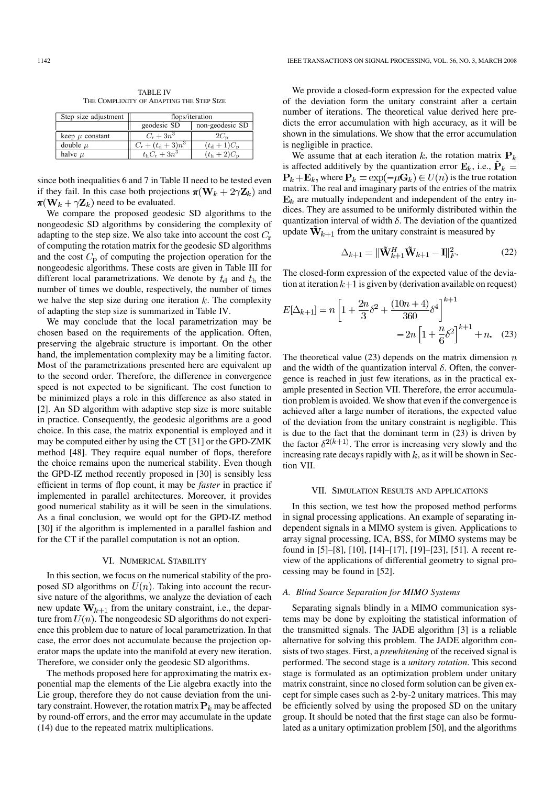TABLE IV THE COMPLEXITY OF ADAPTING THE STEP SIZE

| Step size adjustment | flops/iteration              |                          |  |
|----------------------|------------------------------|--------------------------|--|
|                      | geodesic SD                  | non-geodesic SD          |  |
| keep $\mu$ constant  | $C_r + 3n^3$                 | $2C_{\rm p}$             |  |
| double $\mu$         | $C_{\rm r}+(t_{\rm d}+3)n^3$ | $(t_{\rm d}+1)C_{\rm p}$ |  |
| halve $\mu$          | $t_{\rm h}C_{\rm r}+3n^3$    | $(th+2)Cn$               |  |

since both inequalities 6 and 7 in Table II need to be tested even if they fail. In this case both projections  $\pi(\mathbf{W}_k + 2\gamma \mathbf{Z}_k)$  and  $\pi(\mathbf{W}_k + \gamma \mathbf{Z}_k)$  need to be evaluated.

We compare the proposed geodesic SD algorithms to the nongeodesic SD algorithms by considering the complexity of adapting to the step size. We also take into account the cost  $C_{\rm r}$ of computing the rotation matrix for the geodesic SD algorithms and the cost  $C_{\rm p}$  of computing the projection operation for the nongeodesic algorithms. These costs are given in Table III for different local parametrizations. We denote by  $t_d$  and  $t_h$  the number of times we double, respectively, the number of times we halve the step size during one iteration  $k$ . The complexity of adapting the step size is summarized in Table IV.

We may conclude that the local parametrization may be chosen based on the requirements of the application. Often, preserving the algebraic structure is important. On the other hand, the implementation complexity may be a limiting factor. Most of the parametrizations presented here are equivalent up to the second order. Therefore, the difference in convergence speed is not expected to be significant. The cost function to be minimized plays a role in this difference as also stated in [2]. An SD algorithm with adaptive step size is more suitable in practice. Consequently, the geodesic algorithms are a good choice. In this case, the matrix exponential is employed and it may be computed either by using the CT [31] or the GPD-ZMK method [48]. They require equal number of flops, therefore the choice remains upon the numerical stability. Even though the GPD-IZ method recently proposed in [30] is sensibly less efficient in terms of flop count, it may be *faster* in practice if implemented in parallel architectures. Moreover, it provides good numerical stability as it will be seen in the simulations. As a final conclusion, we would opt for the GPD-IZ method [30] if the algorithm is implemented in a parallel fashion and for the CT if the parallel computation is not an option.

#### VI. NUMERICAL STABILITY

In this section, we focus on the numerical stability of the proposed SD algorithms on  $U(n)$ . Taking into account the recursive nature of the algorithms, we analyze the deviation of each new update  $W_{k+1}$  from the unitary constraint, i.e., the departure from  $U(n)$ . The nongeodesic SD algorithms do not experience this problem due to nature of local parametrization. In that case, the error does not accumulate because the projection operator maps the update into the manifold at every new iteration. Therefore, we consider only the geodesic SD algorithms.

The methods proposed here for approximating the matrix exponential map the elements of the Lie algebra exactly into the Lie group, therefore they do not cause deviation from the unitary constraint. However, the rotation matrix  $\mathbf{P}_k$  may be affected by round-off errors, and the error may accumulate in the update (14) due to the repeated matrix multiplications.

We provide a closed-form expression for the expected value of the deviation form the unitary constraint after a certain number of iterations. The theoretical value derived here predicts the error accumulation with high accuracy, as it will be shown in the simulations. We show that the error accumulation is negligible in practice.

We assume that at each iteration  $k$ , the rotation matrix  $P_k$ is affected additively by the quantization error  $\mathbf{E}_k$ , i.e.,  $\mathbf{P}_k =$  $\mathbf{P}_k + \mathbf{E}_k$ , where  $\mathbf{P}_k = \exp(-\mu \mathbf{G}_k) \in U(n)$  is the true rotation matrix. The real and imaginary parts of the entries of the matrix  $\mathbf{E}_k$  are mutually independent and independent of the entry indices. They are assumed to be uniformly distributed within the quantization interval of width  $\delta$ . The deviation of the quantized update  $\mathbf{W}_{k+1}$  from the unitary constraint is measured by

$$
\Delta_{k+1} = ||\tilde{\mathbf{W}}_{k+1}^H \tilde{\mathbf{W}}_{k+1} - \mathbf{I}||_F^2.
$$
 (22)

The closed-form expression of the expected value of the deviation at iteration  $k+1$  is given by (derivation available on request)

$$
E[\Delta_{k+1}] = n \left[ 1 + \frac{2n}{3} \delta^2 + \frac{(10n+4)}{360} \delta^4 \right]^{k+1}
$$

$$
- 2n \left[ 1 + \frac{n}{6} \delta^2 \right]^{k+1} + n. \quad (23)
$$

The theoretical value (23) depends on the matrix dimension  $n$ and the width of the quantization interval  $\delta$ . Often, the convergence is reached in just few iterations, as in the practical example presented in Section VII. Therefore, the error accumulation problem is avoided. We show that even if the convergence is achieved after a large number of iterations, the expected value of the deviation from the unitary constraint is negligible. This is due to the fact that the dominant term in (23) is driven by the factor  $\delta^{2(k+1)}$ . The error is increasing very slowly and the increasing rate decays rapidly with  $k$ , as it will be shown in Section VII.

#### VII. SIMULATION RESULTS AND APPLICATIONS

In this section, we test how the proposed method performs in signal processing applications. An example of separating independent signals in a MIMO system is given. Applications to array signal processing, ICA, BSS, for MIMO systems may be found in [5]–[8], [10], [14]–[17], [19]–[23], [51]. A recent review of the applications of differential geometry to signal processing may be found in [52].

#### *A. Blind Source Separation for MIMO Systems*

Separating signals blindly in a MIMO communication systems may be done by exploiting the statistical information of the transmitted signals. The JADE algorithm [3] is a reliable alternative for solving this problem. The JADE algorithm consists of two stages. First, a *prewhitening* of the received signal is performed. The second stage is a *unitary rotation*. This second stage is formulated as an optimization problem under unitary matrix constraint, since no closed form solution can be given except for simple cases such as 2-by-2 unitary matrices. This may be efficiently solved by using the proposed SD on the unitary group. It should be noted that the first stage can also be formulated as a unitary optimization problem [50], and the algorithms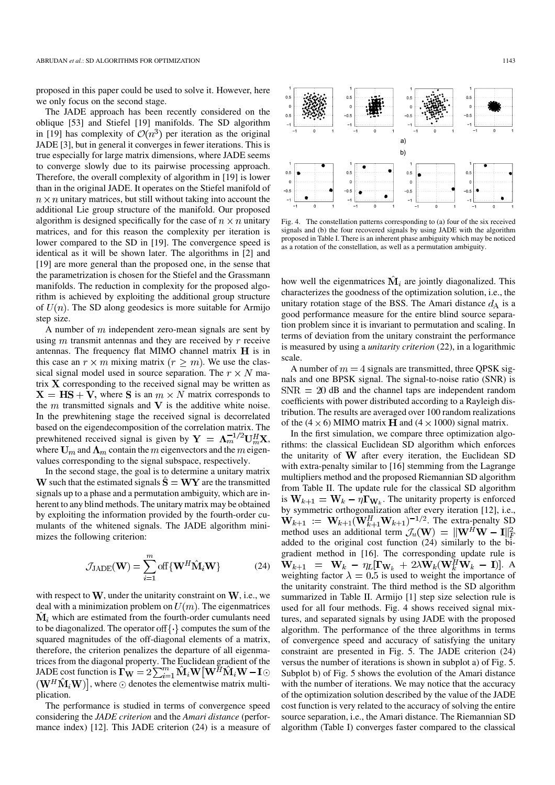proposed in this paper could be used to solve it. However, here we only focus on the second stage.

The JADE approach has been recently considered on the oblique [53] and Stiefel [19] manifolds. The SD algorithm in [19] has complexity of  $\mathcal{O}(n^3)$  per iteration as the original JADE [3], but in general it converges in fewer iterations. This is true especially for large matrix dimensions, where JADE seems to converge slowly due to its pairwise processing approach. Therefore, the overall complexity of algorithm in [19] is lower than in the original JADE. It operates on the Stiefel manifold of  $n \times n$  unitary matrices, but still without taking into account the additional Lie group structure of the manifold. Our proposed algorithm is designed specifically for the case of  $n \times n$  unitary matrices, and for this reason the complexity per iteration is lower compared to the SD in [19]. The convergence speed is identical as it will be shown later. The algorithms in [2] and [19] are more general than the proposed one, in the sense that the parametrization is chosen for the Stiefel and the Grassmann manifolds. The reduction in complexity for the proposed algorithm is achieved by exploiting the additional group structure of  $U(n)$ . The SD along geodesics is more suitable for Armijo step size.

A number of  $m$  independent zero-mean signals are sent by using  $m$  transmit antennas and they are received by  $r$  receive antennas. The frequency flat MIMO channel matrix  $H$  is in this case an  $r \times m$  mixing matrix  $(r \ge m)$ . We use the classical signal model used in source separation. The  $r \times N$  matrix  $X$  corresponding to the received signal may be written as  $X = HS + V$ , where S is an  $m \times N$  matrix corresponds to the  $m$  transmitted signals and  $V$  is the additive white noise. In the prewhitening stage the received signal is decorrelated based on the eigendecomposition of the correlation matrix. The prewhitened received signal is given by  $Y = \Lambda_m^{-1/2} U_m^H X$ , where  $U_m$  and  $\Lambda_m$  contain the m eigenvectors and the m eigenvalues corresponding to the signal subspace, respectively.

In the second stage, the goal is to determine a unitary matrix W such that the estimated signals  $\hat{S} = WY$  are the transmitted signals up to a phase and a permutation ambiguity, which are inherent to any blind methods. The unitary matrix may be obtained by exploiting the information provided by the fourth-order cumulants of the whitened signals. The JADE algorithm minimizes the following criterion:

$$
\mathcal{J}_{\text{JADE}}(\mathbf{W}) = \sum_{i=1}^{m} \text{off} \{ \mathbf{W}^{H} \hat{\mathbf{M}}_{i} \mathbf{W} \}
$$
(24)

with respect to  $W$ , under the unitarity constraint on  $W$ , i.e., we deal with a minimization problem on  $U(m)$ . The eigenmatrices  $\hat{\mathbf{M}}_i$  which are estimated from the fourth-order cumulants need to be diagonalized. The operator of  $\{\cdot\}$  computes the sum of the squared magnitudes of the off-diagonal elements of a matrix, therefore, the criterion penalizes the departure of all eigenmatrices from the diagonal property. The Euclidean gradient of the JADE cost function is  $\Gamma_{\mathbf{W}} = 2 \sum_{i=1}^{m} \hat{\mathbf{M}}_i \mathbf{W} [\mathbf{W}^H \hat{\mathbf{M}}_i \mathbf{W} - \mathbf{I}]$  $(\mathbf{W}^H \hat{\mathbf{M}}_i \mathbf{W})$ , where  $\odot$  denotes the elementwise matrix multiplication.

The performance is studied in terms of convergence speed considering the *JADE criterion* and the *Amari distance* (performance index) [12]. This JADE criterion (24) is a measure of



Fig. 4. The constellation patterns corresponding to (a) four of the six received signals and (b) the four recovered signals by using JADE with the algorithm proposed in Table I. There is an inherent phase ambiguity which may be noticed as a rotation of the constellation, as well as a permutation ambiguity.

how well the eigenmatrices  $\hat{\mathbf{M}}_i$  are jointly diagonalized. This characterizes the goodness of the optimization solution, i.e., the unitary rotation stage of the BSS. The Amari distance  $d_A$  is a good performance measure for the entire blind source separation problem since it is invariant to permutation and scaling. In terms of deviation from the unitary constraint the performance is measured by using a *unitarity criterion* (22), in a logarithmic scale.

A number of  $m = 4$  signals are transmitted, three QPSK signals and one BPSK signal. The signal-to-noise ratio (SNR) is  $SNR = 20$  dB and the channel taps are independent random coefficients with power distributed according to a Rayleigh distribution. The results are averaged over 100 random realizations of the (4  $\times$  6) MIMO matrix **H** and (4  $\times$  1000) signal matrix.

In the first simulation, we compare three optimization algorithms: the classical Euclidean SD algorithm which enforces the unitarity of  $W$  after every iteration, the Euclidean SD with extra-penalty similar to [16] stemming from the Lagrange multipliers method and the proposed Riemannian SD algorithm from Table II. The update rule for the classical SD algorithm is  $W_{k+1} = W_k - \eta \Gamma_{W_k}$ . The unitarity property is enforced by symmetric orthogonalization after every iteration [12], i.e., . The extra-penalty SD method uses an additional term added to the original cost function (24) similarly to the bigradient method in [16]. The corresponding update rule is  $\mathbf{W}_{k+1} = \mathbf{W}_k - \eta_L [\mathbf{\Gamma}_{\mathbf{W}_k} + 2\lambda \mathbf{W}_k (\mathbf{W}_k^H \mathbf{W}_k - \mathbf{I})].$  A weighting factor  $\lambda = 0.5$  is used to weight the importance of the unitarity constraint. The third method is the SD algorithm summarized in Table II. Armijo [1] step size selection rule is used for all four methods. Fig. 4 shows received signal mixtures, and separated signals by using JADE with the proposed algorithm. The performance of the three algorithms in terms of convergence speed and accuracy of satisfying the unitary constraint are presented in Fig. 5. The JADE criterion (24) versus the number of iterations is shown in subplot a) of Fig. 5. Subplot b) of Fig. 5 shows the evolution of the Amari distance with the number of iterations. We may notice that the accuracy of the optimization solution described by the value of the JADE cost function is very related to the accuracy of solving the entire source separation, i.e., the Amari distance. The Riemannian SD algorithm (Table I) converges faster compared to the classical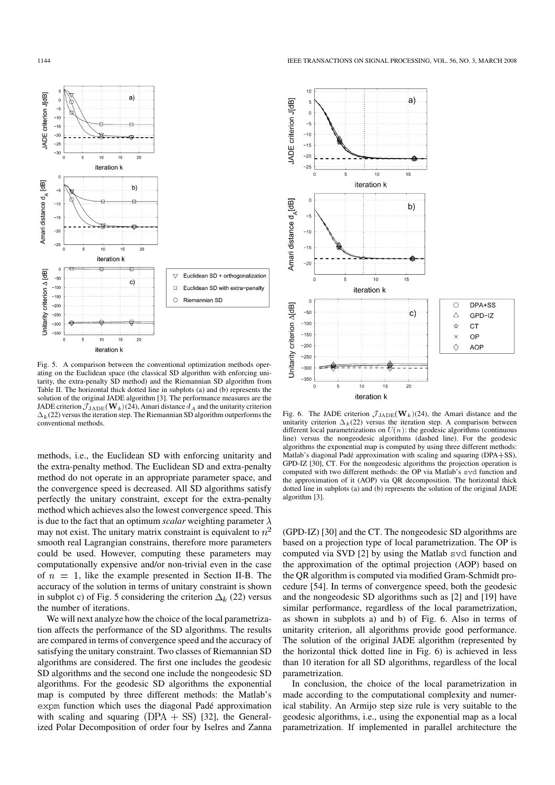

Fig. 5. A comparison between the conventional optimization methods operating on the Euclidean space (the classical SD algorithm with enforcing unitarity, the extra-penalty SD method) and the Riemannian SD algorithm from Table II. The horizontal thick dotted line in subplots (a) and (b) represents the solution of the original JADE algorithm [3]. The performance measures are the JADE criterion  $\mathcal{J}_{\rm JADE}(\mathbf{W}_k)(24)$ , Amari distance  $d_A$  and the unitarity criterion  $\Delta_k$ (22) versus the iteration step. The Riemannian SD algorithm outperforms the conventional methods.

methods, i.e., the Euclidean SD with enforcing unitarity and the extra-penalty method. The Euclidean SD and extra-penalty method do not operate in an appropriate parameter space, and the convergence speed is decreased. All SD algorithms satisfy perfectly the unitary constraint, except for the extra-penalty method which achieves also the lowest convergence speed. This is due to the fact that an optimum *scalar* weighting parameter  $\lambda$ may not exist. The unitary matrix constraint is equivalent to  $n^2$ smooth real Lagrangian constrains, therefore more parameters could be used. However, computing these parameters may computationally expensive and/or non-trivial even in the case of  $n = 1$ , like the example presented in Section II-B. The accuracy of the solution in terms of unitary constraint is shown in subplot c) of Fig. 5 considering the criterion  $\Delta_k$  (22) versus the number of iterations.

We will next analyze how the choice of the local parametrization affects the performance of the SD algorithms. The results are compared in terms of convergence speed and the accuracy of satisfying the unitary constraint. Two classes of Riemannian SD algorithms are considered. The first one includes the geodesic SD algorithms and the second one include the nongeodesic SD algorithms. For the geodesic SD algorithms the exponential map is computed by three different methods: the Matlab's expm function which uses the diagonal Padé approximation with scaling and squaring  $(DPA + SS)$  [32], the Generalized Polar Decomposition of order four by Iselres and Zanna



Fig. 6. The JADE criterion  $\mathcal{J}_{\text{JADE}}(\mathbf{W}_k)(24)$ , the Amari distance and the unitarity criterion  $\Delta_k$ (22) versus the iteration step. A comparison between different local parametrizations on  $U(n)$ : the geodesic algorithms (continuous line) versus the nongeodesic algorithms (dashed line). For the geodesic algorithms the exponential map is computed by using three different methods: Matlab's diagonal Padé approximation with scaling and squaring (DPA+SS), GPD-IZ [30], CT. For the nongeodesic algorithms the projection operation is computed with two different methods: the OP via Matlab's svd function and the approximation of it (AOP) via QR decomposition. The horizontal thick dotted line in subplots (a) and (b) represents the solution of the original JADE algorithm [3].

(GPD-IZ) [30] and the CT. The nongeodesic SD algorithms are based on a projection type of local parametrization. The OP is computed via SVD [2] by using the Matlab svd function and the approximation of the optimal projection (AOP) based on the QR algorithm is computed via modified Gram-Schmidt procedure [54]. In terms of convergence speed, both the geodesic and the nongeodesic SD algorithms such as [2] and [19] have similar performance, regardless of the local parametrization, as shown in subplots a) and b) of Fig. 6. Also in terms of unitarity criterion, all algorithms provide good performance. The solution of the original JADE algorithm (represented by the horizontal thick dotted line in Fig. 6) is achieved in less than 10 iteration for all SD algorithms, regardless of the local parametrization.

In conclusion, the choice of the local parametrization in made according to the computational complexity and numerical stability. An Armijo step size rule is very suitable to the geodesic algorithms, i.e., using the exponential map as a local parametrization. If implemented in parallel architecture the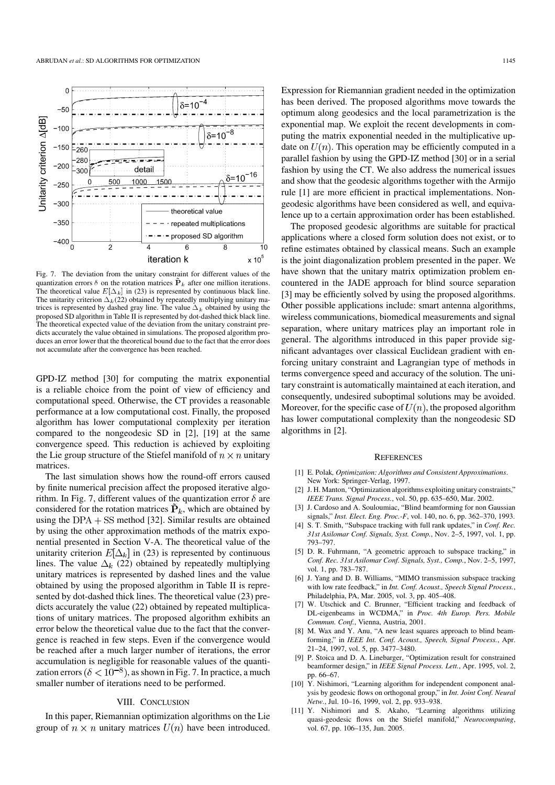

Fig. 7. The deviation from the unitary constraint for different values of the quantization errors  $\delta$  on the rotation matrices  $\overline{P}_k$  after one million iterations. The theoretical value  $E[\Delta_k]$  in (23) is represented by continuous black line. The unitarity criterion  $\Delta_k(22)$  obtained by repeatedly multiplying unitary matrices is represented by dashed gray line. The value  $\Delta_k$  obtained by using the proposed SD algorithm in Table II is represented by dot-dashed thick black line. The theoretical expected value of the deviation from the unitary constraint predicts accurately the value obtained in simulations. The proposed algorithm produces an error lower that the theoretical bound due to the fact that the error does not accumulate after the convergence has been reached.

GPD-IZ method [30] for computing the matrix exponential is a reliable choice from the point of view of efficiency and computational speed. Otherwise, the CT provides a reasonable performance at a low computational cost. Finally, the proposed algorithm has lower computational complexity per iteration compared to the nongeodesic SD in [2], [19] at the same convergence speed. This reduction is achieved by exploiting the Lie group structure of the Stiefel manifold of  $n \times n$  unitary matrices.

The last simulation shows how the round-off errors caused by finite numerical precision affect the proposed iterative algorithm. In Fig. 7, different values of the quantization error  $\delta$  are considered for the rotation matrices  $P_k$ , which are obtained by using the  $DPA + SS$  method [32]. Similar results are obtained by using the other approximation methods of the matrix exponential presented in Section V-A. The theoretical value of the unitarity criterion  $E[\Delta_k]$  in (23) is represented by continuous lines. The value  $\Delta_k$  (22) obtained by repeatedly multiplying unitary matrices is represented by dashed lines and the value obtained by using the proposed algorithm in Table II is represented by dot-dashed thick lines. The theoretical value (23) predicts accurately the value (22) obtained by repeated multiplications of unitary matrices. The proposed algorithm exhibits an error below the theoretical value due to the fact that the convergence is reached in few steps. Even if the convergence would be reached after a much larger number of iterations, the error accumulation is negligible for reasonable values of the quantization errors ( $\delta < 10^{-8}$ ), as shown in Fig. 7. In practice, a much smaller number of iterations need to be performed.

#### VIII. CONCLUSION

In this paper, Riemannian optimization algorithms on the Lie group of  $n \times n$  unitary matrices  $U(n)$  have been introduced. Expression for Riemannian gradient needed in the optimization has been derived. The proposed algorithms move towards the optimum along geodesics and the local parametrization is the exponential map. We exploit the recent developments in computing the matrix exponential needed in the multiplicative update on  $U(n)$ . This operation may be efficiently computed in a parallel fashion by using the GPD-IZ method [30] or in a serial fashion by using the CT. We also address the numerical issues and show that the geodesic algorithms together with the Armijo rule [1] are more efficient in practical implementations. Nongeodesic algorithms have been considered as well, and equivalence up to a certain approximation order has been established.

The proposed geodesic algorithms are suitable for practical applications where a closed form solution does not exist, or to refine estimates obtained by classical means. Such an example is the joint diagonalization problem presented in the paper. We have shown that the unitary matrix optimization problem encountered in the JADE approach for blind source separation [3] may be efficiently solved by using the proposed algorithms. Other possible applications include: smart antenna algorithms, wireless communications, biomedical measurements and signal separation, where unitary matrices play an important role in general. The algorithms introduced in this paper provide significant advantages over classical Euclidean gradient with enforcing unitary constraint and Lagrangian type of methods in terms convergence speed and accuracy of the solution. The unitary constraint is automatically maintained at each iteration, and consequently, undesired suboptimal solutions may be avoided. Moreover, for the specific case of  $U(n)$ , the proposed algorithm has lower computational complexity than the nongeodesic SD algorithms in [2].

#### **REFERENCES**

- [1] E. Polak*, Optimization: Algorithms and Consistent Approximations*. New York: Springer-Verlag, 1997.
- [2] J. H. Manton, "Optimization algorithms exploiting unitary constraints," *IEEE Trans. Signal Process.*, vol. 50, pp. 635–650, Mar. 2002.
- [3] J. Cardoso and A. Souloumiac, "Blind beamforming for non Gaussian signals," *Inst. Elect. Eng. Proc.-F*, vol. 140, no. 6, pp. 362–370, 1993.
- [4] S. T. Smith, "Subspace tracking with full rank updates," in *Conf. Rec. 31st Asilomar Conf. Signals, Syst. Comp.*, Nov. 2–5, 1997, vol. 1, pp. 793–797.
- [5] D. R. Fuhrmann, "A geometric approach to subspace tracking," in *Conf. Rec. 31st Asilomar Conf. Signals, Syst., Comp.*, Nov. 2–5, 1997, vol. 1, pp. 783–787.
- [6] J. Yang and D. B. Williams, "MIMO transmission subspace tracking with low rate feedback," in *Int. Conf. Acoust., Speech Signal Process.*, Philadelphia, PA, Mar. 2005, vol. 3, pp. 405–408.
- [7] W. Utschick and C. Brunner, "Efficient tracking and feedback of DL-eigenbeams in WCDMA," in *Proc. 4th Europ. Pers. Mobile Commun. Conf.*, Vienna, Austria, 2001.
- [8] M. Wax and Y. Anu, "A new least squares approach to blind beamforming," in *IEEE Int. Conf. Acoust., Speech, Signal Process.*, Apr. 21–24, 1997, vol. 5, pp. 3477–3480.
- [9] P. Stoica and D. A. Linebarger, "Optimization result for constrained beamformer design," in *IEEE Signal Process. Lett.*, Apr. 1995, vol. 2, pp. 66–67.
- [10] Y. Nishimori, "Learning algorithm for independent component analysis by geodesic flows on orthogonal group," in *Int. Joint Conf. Neural Netw.*, Jul. 10–16, 1999, vol. 2, pp. 933–938.
- [11] Y. Nishimori and S. Akaho, "Learning algorithms utilizing quasi-geodesic flows on the Stiefel manifold," *Neurocomputing*, vol. 67, pp. 106–135, Jun. 2005.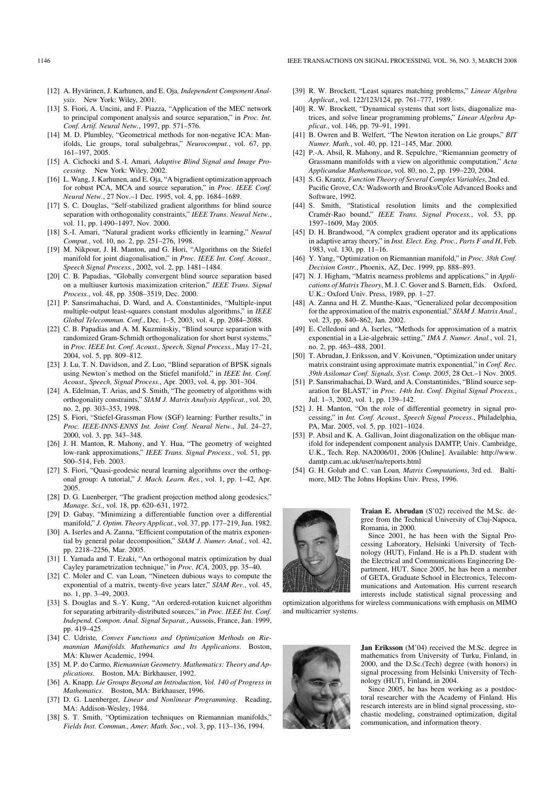1146 IEEE TRANSACTIONS ON SIGNAL PROCESSING, VOL. 56, NO. 3, MARCH 2008

- [12] A. Hyvärinen, J. Karhunen, and E. Oja*, Independent Component Analysis*. New York: Wiley, 2001.
- [13] S. Fiori, A. Uncini, and F. Piazza, "Application of the MEC network to principal component analysis and source separation," in *Proc. Int. Conf. Artif. Neural Netw.*, 1997, pp. 571–576.
- [14] M. D. Plumbley, "Geometrical methods for non-negative ICA: Manifolds, Lie groups, toral subalgebras," *Neurocomput.*, vol. 67, pp. 161–197, 2005.
- [15] A. Cichocki and S.-I. Amari*, Adaptive Blind Signal and Image Processing*. New York: Wiley, 2002.
- [16] L. Wang, J. Karhunen, and E. Oja, "A bigradient optimization approach for robust PCA, MCA and source separation," in *Proc. IEEE Conf. Neural Netw.*, 27 Nov.–1 Dec. 1995, vol. 4, pp. 1684–1689.
- [17] S. C. Douglas, "Self-stabilized gradient algorithms for blind source separation with orthogonality constraints," *IEEE Trans. Neural Netw.*, vol. 11, pp. 1490–1497, Nov. 2000.
- [18] S.-I. Amari, "Natural gradient works efficiently in learning," *Neural Comput.*, vol. 10, no. 2, pp. 251–276, 1998.
- [19] M. Nikpour, J. H. Manton, and G. Hori, "Algorithms on the Stiefel manifold for joint diagonalisation," in *Proc. IEEE Int. Conf. Acoust., Speech Signal Process.*, 2002, vol. 2, pp. 1481–1484.
- [20] C. B. Papadias, "Globally convergent blind source separation based on a multiuser kurtosis maximization criterion," *IEEE Trans. Signal Process.*, vol. 48, pp. 3508–3519, Dec. 2000.
- [21] P. Sansrimahachai, D. Ward, and A. Constantinides, "Multiple-input multiple-output least-squares constant modulus algorithms," in *IEEE Global Telecommun. Conf.*, Dec. 1–5, 2003, vol. 4, pp. 2084–2088.
- [22] C. B. Papadias and A. M. Kuzminskiy, "Blind source separation with randomized Gram-Schmidt orthogonalization for short burst systems," in *Proc. IEEE Int. Conf. Acoust., Speech, Signal Process.*, May 17–21, 2004, vol. 5, pp. 809–812.
- [23] J. Lu, T. N. Davidson, and Z. Luo, "Blind separation of BPSK signals using Newton's method on the Stiefel manifold," in *IEEE Int. Conf. Acoust., Speech, Signal Process.*, Apr. 2003, vol. 4, pp. 301–304.
- [24] A. Edelman, T. Arias, and S. Smith, "The geometry of algorithms with orthogonality constraints," *SIAM J. Matrix Analysis Applicat.*, vol. 20, no. 2, pp. 303–353, 1998.
- [25] S. Fiori, "Stiefel-Grassman Flow (SGF) learning: Further results," in *Proc. IEEE-INNS-ENNS Int. Joint Conf. Neural Netw.*, Jul. 24–27, 2000, vol. 3, pp. 343–348.
- [26] J. H. Manton, R. Mahony, and Y. Hua, "The geometry of weighted low-rank approximations," *IEEE Trans. Signal Process.*, vol. 51, pp. 500–514, Feb. 2003.
- [27] S. Fiori, "Quasi-geodesic neural learning algorithms over the orthogonal group: A tutorial," *J. Mach. Learn. Res.*, vol. 1, pp. 1–42, Apr. 2005.
- [28] D. G. Luenberger, "The gradient projection method along geodesics," *Manage. Sci.*, vol. 18, pp. 620–631, 1972.
- [29] D. Gabay, "Minimizing a differentiable function over a differential manifold," *J. Optim. Theory Applicat.*, vol. 37, pp. 177–219, Jun. 1982.
- [30] A. Iserles and A. Zanna, "Efficient computation of the matrix exponential by general polar decomposition," *SIAM J. Numer. Anal.*, vol. 42, pp. 2218–2256, Mar. 2005.
- [31] I. Yamada and T. Ezaki, "An orthogonal matrix optimization by dual Cayley parametrization technique," in *Proc. ICA*, 2003, pp. 35–40.
- [32] C. Moler and C. van Loan, "Nineteen dubious ways to compute the exponential of a matrix, twenty-five years later," *SIAM Rev.*, vol. 45, no. 1, pp. 3–49, 2003.
- [33] S. Douglas and S.-Y. Kung, "An ordered-rotation kuicnet algorithm for separating arbitrarily-distributed sources," in *Proc. IEEE Int. Conf. Independ. Compon. Anal. Signal Separat.*, Aussois, France, Jan. 1999, pp. 419–425.
- [34] C. Udriste*, Convex Functions and Optimization Methods on Riemannian Manifolds. Mathematics and Its Applications*. Boston, MA: Kluwer Academic, 1994.
- [35] M. P. do Carmo*, Riemannian Geometry. Mathematics: Theory and Applications*. Boston, MA: Birkhauser, 1992.
- [36] A. Knapp*, Lie Groups Beyond an Introduction, Vol. 140 of Progress in Mathematics*. Boston, MA: Birkhauser, 1996.
- [37] D. G. Luenberger*, Linear and Nonlinear Programming*. Reading, MA: Addison-Wesley, 1984.
- [38] S. T. Smith, "Optimization techniques on Riemannian manifolds," *Fields Inst. Commun., Amer. Math. Soc.*, vol. 3, pp. 113–136, 1994.
- [39] R. W. Brockett, "Least squares matching problems," *Linear Algebra Applicat.*, vol. 122/123/124, pp. 761–777, 1989.
- [40] R. W. Brockett, "Dynamical systems that sort lists, diagonalize matrices, and solve linear programming problems," *Linear Algebra Applicat.*, vol. 146, pp. 79–91, 1991.
- [41] B. Owren and B. Welfert, "The Newton iteration on Lie groups," *BIT Numer. Math.*, vol. 40, pp. 121–145, Mar. 2000.
- [42] P.-A. Absil, R. Mahony, and R. Sepulchre, "Riemannian geometry of Grassmann manifolds with a view on algorithmic computation," *Acta Applicandae Mathematicae*, vol. 80, no. 2, pp. 199–220, 2004.
- [43] S. G. Krantz*, Function Theory of Several Complex Variables*, 2nd ed. Pacific Grove, CA: Wadsworth and Brooks/Cole Advanced Books and Software, 1992.
- [44] S. Smith, "Statistical resolution limits and the complexified Cramér-Rao bound," *IEEE Trans. Signal Process.*, vol. 53, pp. 1597–1609, May 2005.
- [45] D. H. Brandwood, "A complex gradient operator and its applications in adaptive array theory," in *Inst. Elect. Eng. Proc., Parts F and H*, Feb. 1983, vol. 130, pp. 11–16.
- [46] Y. Yang, "Optimization on Riemannian manifold," in *Proc. 38th Conf. Decision Contr.*, Phoenix, AZ, Dec. 1999, pp. 888–893.
- [47] N. J. Higham, "Matrix nearness problems and applications," in *Applications of Matrix Theory*, M.J. C. Gover and S. Barnett, Eds. Oxford, U.K.: Oxford Univ. Press, 1989, pp. 1–27.
- [48] A. Zanna and H. Z. Munthe-Kaas, "Generalized polar decomposition for the approximation of the matrix exponential," *SIAM J. Matrix Anal.*, vol. 23, pp. 840–862, Jan. 2002.
- [49] E. Celledoni and A. Iserles, "Methods for approximation of a matrix exponential in a Lie-algebraic setting," *IMA J. Numer. Anal.*, vol. 21, no. 2, pp. 463–488, 2001.
- [50] T. Abrudan, J. Eriksson, and V. Koivunen, "Optimization under unitary matrix constraint using approximate matrix exponential," in *Conf. Rec. 39th Asilomar Conf. Signals, Syst. Comp. 2005*, 28 Oct.–1 Nov. 2005.
- [51] P. Sansrimahachai, D. Ward, and A. Constantinides, "Blind source separation for BLAST," in *Proc. 14th Int. Conf. Digital Signal Process.*, Jul. 1–3, 2002, vol. 1, pp. 139–142.
- [52] J. H. Manton, "On the role of differential geometry in signal processing," in *Int. Conf. Acoust., Speech Signal Process.*, Philadelphia, PA, Mar. 2005, vol. 5, pp. 1021–1024.
- [53] P. Absil and K. A. Gallivan, Joint diagonalization on the oblique manifold for independent component analysis DAMTP, Univ. Cambridge, U.K., Tech. Rep. NA2006/01, 2006 [Online]. Available: http://www. damtp.cam.ac.uk/user/na/reports.html
- [54] G. H. Golub and C. van Loan*, Matrix Computations*, 3rd ed. Baltimore, MD: The Johns Hopkins Univ. Press, 1996.



**Traian E. Abrudan** (S'02) received the M.Sc. degree from the Technical University of Cluj-Napoca, Romania, in 2000.

Since 2001, he has been with the Signal Processing Laboratory, Helsinki University of Technology (HUT), Finland. He is a Ph.D. student with the Electrical and Communications Engineering Department, HUT. Since 2005, he has been a member of GETA, Graduate School in Electronics, Telecommunications and Automation. His current research interests include statistical signal processing and

optimization algorithms for wireless communications with emphasis on MIMO and multicarrier systems.



**Jan Eriksson** (M'04) received the M.Sc. degree in mathematics from University of Turku, Finland, in 2000, and the D.Sc.(Tech) degree (with honors) in signal processing from Helsinki University of Technology (HUT), Finland, in 2004.

Since 2005, he has been working as a postdoctoral researcher with the Academy of Finland. His research interests are in blind signal processing, stochastic modeling, constrained optimization, digital communication, and information theory.